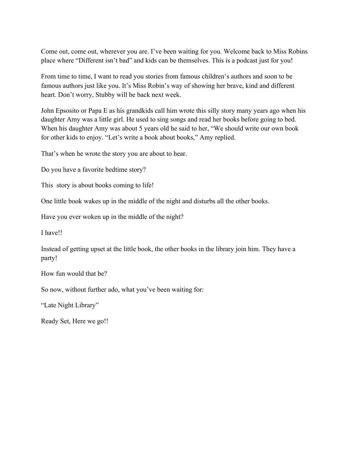Come out, come out, wherever you are. I've been waiting for you. Welcome back to Miss Robins place where "Different isn't bad" and kids can be themselves. This is a podcast just for you!

From time to time, I want to read you stories from famous children's authors and soon to be famous authors just like you. It's Miss Robin's way of showing her brave, kind and different heart. Don't worry, Stubby will be back next week.

John Epsosito or Papa E as his grandkids call him wrote this silly story many years ago when his daughter Amy was a little girl. He used to sing songs and read her books before going to bed. When his daughter Amy was about 5 years old he said to her, "We should write our own book for other kids to enjoy. "Let's write a book about books," Amy replied.

That's when he wrote the story you are about to hear.

Do you have a favorite bedtime story?

This story is about books coming to life!

One little book wakes up in the middle of the night and disturbs all the other books.

Have you ever woken up in the middle of the night?

I have!!

Instead of getting upset at the little book, the other books in the library join him. They have a party!

How fun would that be?

So now, without further ado, what you've been waiting for:

"Late Night Library"

Ready Set, Here we go!!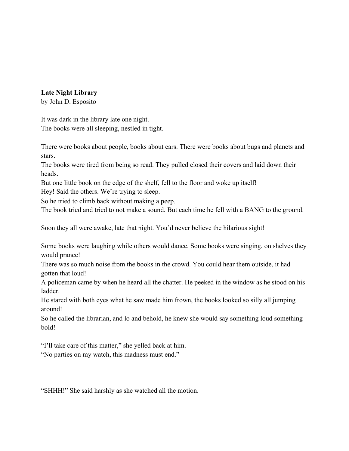**Late Night Library**

by John D. Esposito

It was dark in the library late one night. The books were all sleeping, nestled in tight.

There were books about people, books about cars. There were books about bugs and planets and stars.

The books were tired from being so read. They pulled closed their covers and laid down their heads.

But one little book on the edge of the shelf, fell to the floor and woke up itself!

Hey! Said the others. We're trying to sleep.

So he tried to climb back without making a peep.

The book tried and tried to not make a sound. But each time he fell with a BANG to the ground.

Soon they all were awake, late that night. You'd never believe the hilarious sight!

Some books were laughing while others would dance. Some books were singing, on shelves they would prance!

There was so much noise from the books in the crowd. You could hear them outside, it had gotten that loud!

A policeman came by when he heard all the chatter. He peeked in the window as he stood on his ladder.

He stared with both eyes what he saw made him frown, the books looked so silly all jumping around!

So he called the librarian, and lo and behold, he knew she would say something loud something bold!

"I'll take care of this matter," she yelled back at him.

"No parties on my watch, this madness must end."

"SHHH!" She said harshly as she watched all the motion.